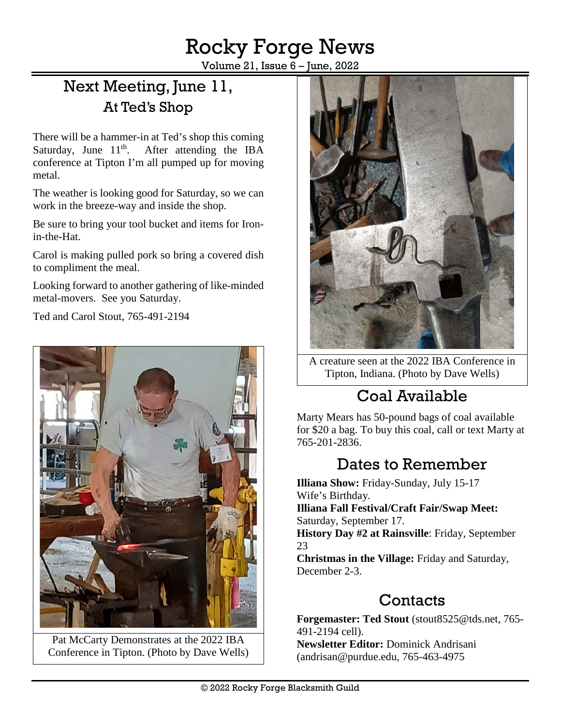Rocky Forge News

Volume 21, Issue 6 – June, 2022

# Next Meeting, June 11, At Ted's Shop

There will be a hammer-in at Ted's shop this coming Saturday, June  $11<sup>th</sup>$ . After attending the IBA conference at Tipton I'm all pumped up for moving metal.

The weather is looking good for Saturday, so we can work in the breeze-way and inside the shop.

Be sure to bring your tool bucket and items for Ironin-the-Hat.

Carol is making pulled pork so bring a covered dish to compliment the meal.

Looking forward to another gathering of like-minded metal-movers. See you Saturday.

Ted and Carol Stout, [765-491-2194](tel:765-491-2194)



Pat McCarty Demonstrates at the 2022 IBA Conference in Tipton. (Photo by Dave Wells)



A creature seen at the 2022 IBA Conference in Tipton, Indiana. (Photo by Dave Wells)

# Coal Available

Marty Mears has 50-pound bags of coal available for \$20 a bag. To buy this coal, call or text Marty at 765-201-2836.

# Dates to Remember

**Illiana Show:** Friday-Sunday, July 15-17 Wife's Birthday. **Illiana Fall Festival/Craft Fair/Swap Meet:** Saturday, September 17. **History Day #2 at Rainsville**: Friday, September 23 **Christmas in the Village:** Friday and Saturday, December 2-3.

### **Contacts**

**Forgemaster: Ted Stout** [\(stout8525@tds.net,](mailto:stout8525@tds.net) 765- 491-2194 cell).

**Newsletter Editor:** Dominick Andrisani [\(andrisan@purdue.edu,](mailto:andrisan@purdue.edu) 765-463-4975